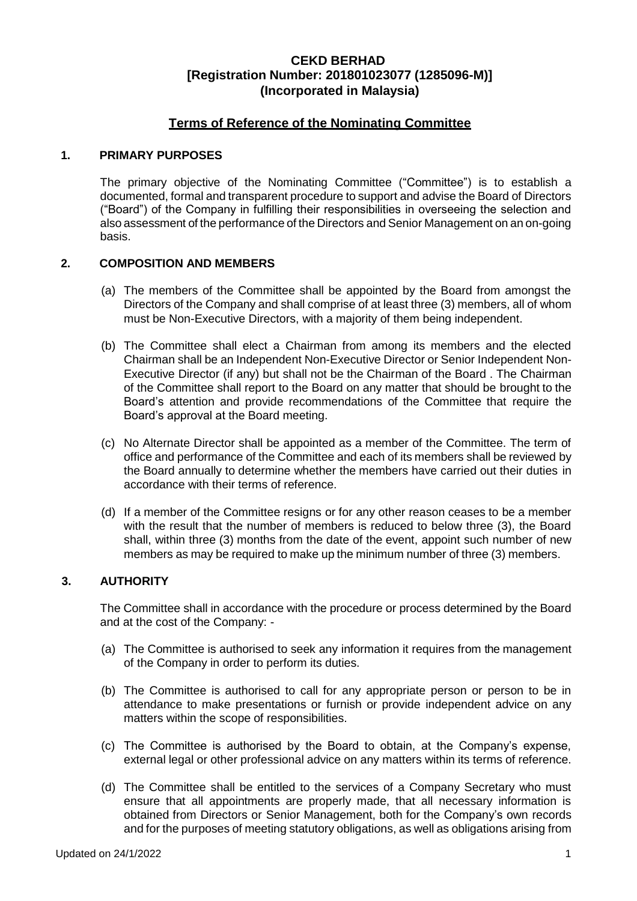# **Terms of Reference of the Nominating Committee**

#### **1. PRIMARY PURPOSES**

The primary objective of the Nominating Committee ("Committee") is to establish a documented, formal and transparent procedure to support and advise the Board of Directors ("Board") of the Company in fulfilling their responsibilities in overseeing the selection and also assessment of the performance of the Directors and Senior Management on an on-going basis.

### **2. COMPOSITION AND MEMBERS**

- (a) The members of the Committee shall be appointed by the Board from amongst the Directors of the Company and shall comprise of at least three (3) members, all of whom must be Non-Executive Directors, with a majority of them being independent.
- (b) The Committee shall elect a Chairman from among its members and the elected Chairman shall be an Independent Non-Executive Director or Senior Independent Non-Executive Director (if any) but shall not be the Chairman of the Board . The Chairman of the Committee shall report to the Board on any matter that should be brought to the Board's attention and provide recommendations of the Committee that require the Board's approval at the Board meeting.
- (c) No Alternate Director shall be appointed as a member of the Committee. The term of office and performance of the Committee and each of its members shall be reviewed by the Board annually to determine whether the members have carried out their duties in accordance with their terms of reference.
- (d) If a member of the Committee resigns or for any other reason ceases to be a member with the result that the number of members is reduced to below three (3), the Board shall, within three (3) months from the date of the event, appoint such number of new members as may be required to make up the minimum number of three (3) members.

## **3. AUTHORITY**

The Committee shall in accordance with the procedure or process determined by the Board and at the cost of the Company: -

- (a) The Committee is authorised to seek any information it requires from the management of the Company in order to perform its duties.
- (b) The Committee is authorised to call for any appropriate person or person to be in attendance to make presentations or furnish or provide independent advice on any matters within the scope of responsibilities.
- (c) The Committee is authorised by the Board to obtain, at the Company's expense, external legal or other professional advice on any matters within its terms of reference.
- (d) The Committee shall be entitled to the services of a Company Secretary who must ensure that all appointments are properly made, that all necessary information is obtained from Directors or Senior Management, both for the Company's own records and for the purposes of meeting statutory obligations, as well as obligations arising from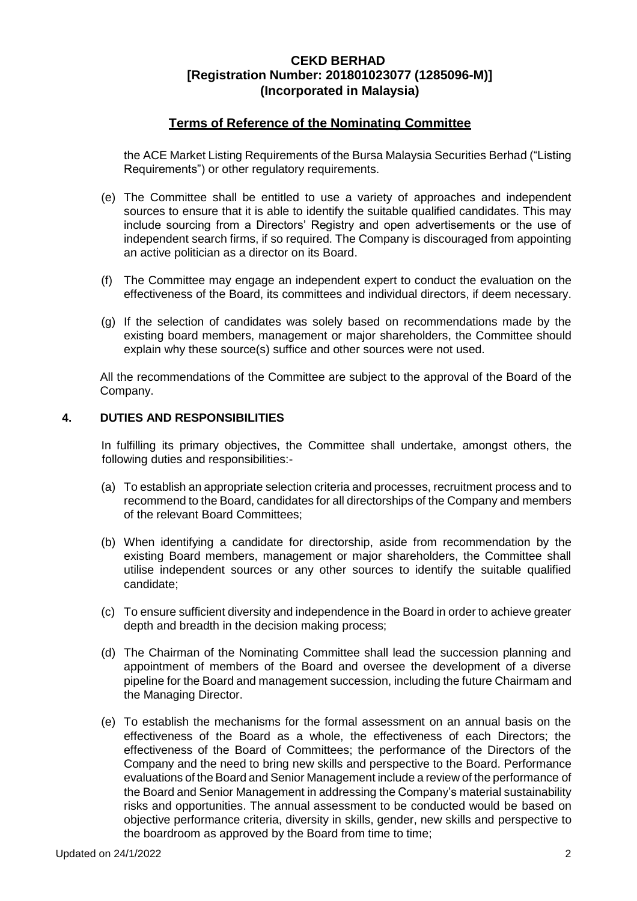# **Terms of Reference of the Nominating Committee**

the ACE Market Listing Requirements of the Bursa Malaysia Securities Berhad ("Listing Requirements") or other regulatory requirements.

- (e) The Committee shall be entitled to use a variety of approaches and independent sources to ensure that it is able to identify the suitable qualified candidates. This may include sourcing from a Directors' Registry and open advertisements or the use of independent search firms, if so required. The Company is discouraged from appointing an active politician as a director on its Board.
- (f) The Committee may engage an independent expert to conduct the evaluation on the effectiveness of the Board, its committees and individual directors, if deem necessary.
- (g) If the selection of candidates was solely based on recommendations made by the existing board members, management or major shareholders, the Committee should explain why these source(s) suffice and other sources were not used.

All the recommendations of the Committee are subject to the approval of the Board of the Company.

#### **4. DUTIES AND RESPONSIBILITIES**

In fulfilling its primary objectives, the Committee shall undertake, amongst others, the following duties and responsibilities:-

- (a) To establish an appropriate selection criteria and processes, recruitment process and to recommend to the Board, candidates for all directorships of the Company and members of the relevant Board Committees;
- (b) When identifying a candidate for directorship, aside from recommendation by the existing Board members, management or major shareholders, the Committee shall utilise independent sources or any other sources to identify the suitable qualified candidate;
- (c) To ensure sufficient diversity and independence in the Board in order to achieve greater depth and breadth in the decision making process;
- (d) The Chairman of the Nominating Committee shall lead the succession planning and appointment of members of the Board and oversee the development of a diverse pipeline for the Board and management succession, including the future Chairmam and the Managing Director.
- (e) To establish the mechanisms for the formal assessment on an annual basis on the effectiveness of the Board as a whole, the effectiveness of each Directors; the effectiveness of the Board of Committees; the performance of the Directors of the Company and the need to bring new skills and perspective to the Board. Performance evaluations of the Board and Senior Management include a review of the performance of the Board and Senior Management in addressing the Company's material sustainability risks and opportunities. The annual assessment to be conducted would be based on objective performance criteria, diversity in skills, gender, new skills and perspective to the boardroom as approved by the Board from time to time;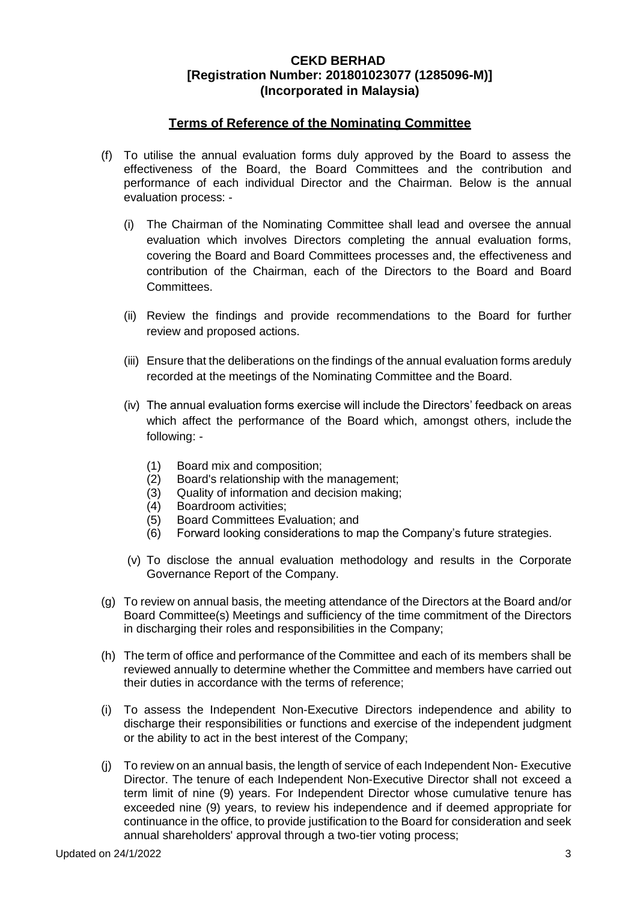# **Terms of Reference of the Nominating Committee**

- (f) To utilise the annual evaluation forms duly approved by the Board to assess the effectiveness of the Board, the Board Committees and the contribution and performance of each individual Director and the Chairman. Below is the annual evaluation process: -
	- (i) The Chairman of the Nominating Committee shall lead and oversee the annual evaluation which involves Directors completing the annual evaluation forms, covering the Board and Board Committees processes and, the effectiveness and contribution of the Chairman, each of the Directors to the Board and Board Committees.
	- (ii) Review the findings and provide recommendations to the Board for further review and proposed actions.
	- (iii) Ensure that the deliberations on the findings of the annual evaluation forms areduly recorded at the meetings of the Nominating Committee and the Board.
	- (iv) The annual evaluation forms exercise will include the Directors' feedback on areas which affect the performance of the Board which, amongst others, include the following: -
		- (1) Board mix and composition;
		- (2) Board's relationship with the management;
		- (3) Quality of information and decision making;
		- (4) Boardroom activities;
		- (5) Board Committees Evaluation; and
		- (6) Forward looking considerations to map the Company's future strategies.
	- (v) To disclose the annual evaluation methodology and results in the Corporate Governance Report of the Company.
- (g) To review on annual basis, the meeting attendance of the Directors at the Board and/or Board Committee(s) Meetings and sufficiency of the time commitment of the Directors in discharging their roles and responsibilities in the Company;
- (h) The term of office and performance of the Committee and each of its members shall be reviewed annually to determine whether the Committee and members have carried out their duties in accordance with the terms of reference;
- (i) To assess the Independent Non-Executive Directors independence and ability to discharge their responsibilities or functions and exercise of the independent judgment or the ability to act in the best interest of the Company;
- (j) To review on an annual basis, the length of service of each Independent Non- Executive Director. The tenure of each Independent Non-Executive Director shall not exceed a term limit of nine (9) years. For Independent Director whose cumulative tenure has exceeded nine (9) years, to review his independence and if deemed appropriate for continuance in the office, to provide justification to the Board for consideration and seek annual shareholders' approval through a two-tier voting process;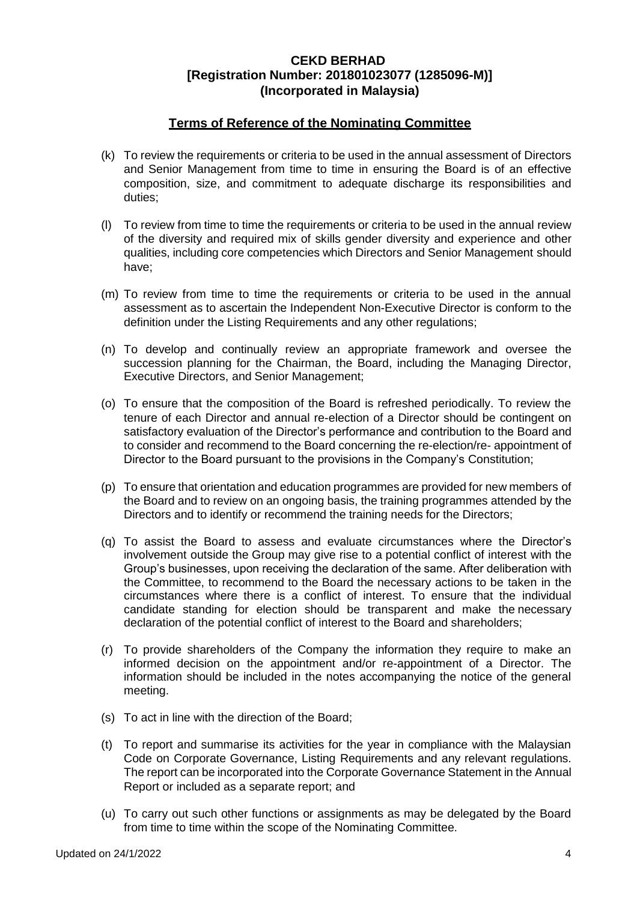# **Terms of Reference of the Nominating Committee**

- (k) To review the requirements or criteria to be used in the annual assessment of Directors and Senior Management from time to time in ensuring the Board is of an effective composition, size, and commitment to adequate discharge its responsibilities and duties;
- (l) To review from time to time the requirements or criteria to be used in the annual review of the diversity and required mix of skills gender diversity and experience and other qualities, including core competencies which Directors and Senior Management should have;
- (m) To review from time to time the requirements or criteria to be used in the annual assessment as to ascertain the Independent Non-Executive Director is conform to the definition under the Listing Requirements and any other regulations;
- (n) To develop and continually review an appropriate framework and oversee the succession planning for the Chairman, the Board, including the Managing Director, Executive Directors, and Senior Management;
- (o) To ensure that the composition of the Board is refreshed periodically. To review the tenure of each Director and annual re-election of a Director should be contingent on satisfactory evaluation of the Director's performance and contribution to the Board and to consider and recommend to the Board concerning the re-election/re- appointment of Director to the Board pursuant to the provisions in the Company's Constitution;
- (p) To ensure that orientation and education programmes are provided for new members of the Board and to review on an ongoing basis, the training programmes attended by the Directors and to identify or recommend the training needs for the Directors;
- (q) To assist the Board to assess and evaluate circumstances where the Director's involvement outside the Group may give rise to a potential conflict of interest with the Group's businesses, upon receiving the declaration of the same. After deliberation with the Committee, to recommend to the Board the necessary actions to be taken in the circumstances where there is a conflict of interest. To ensure that the individual candidate standing for election should be transparent and make the necessary declaration of the potential conflict of interest to the Board and shareholders;
- (r) To provide shareholders of the Company the information they require to make an informed decision on the appointment and/or re-appointment of a Director. The information should be included in the notes accompanying the notice of the general meeting.
- (s) To act in line with the direction of the Board;
- (t) To report and summarise its activities for the year in compliance with the Malaysian Code on Corporate Governance, Listing Requirements and any relevant regulations. The report can be incorporated into the Corporate Governance Statement in the Annual Report or included as a separate report; and
- (u) To carry out such other functions or assignments as may be delegated by the Board from time to time within the scope of the Nominating Committee.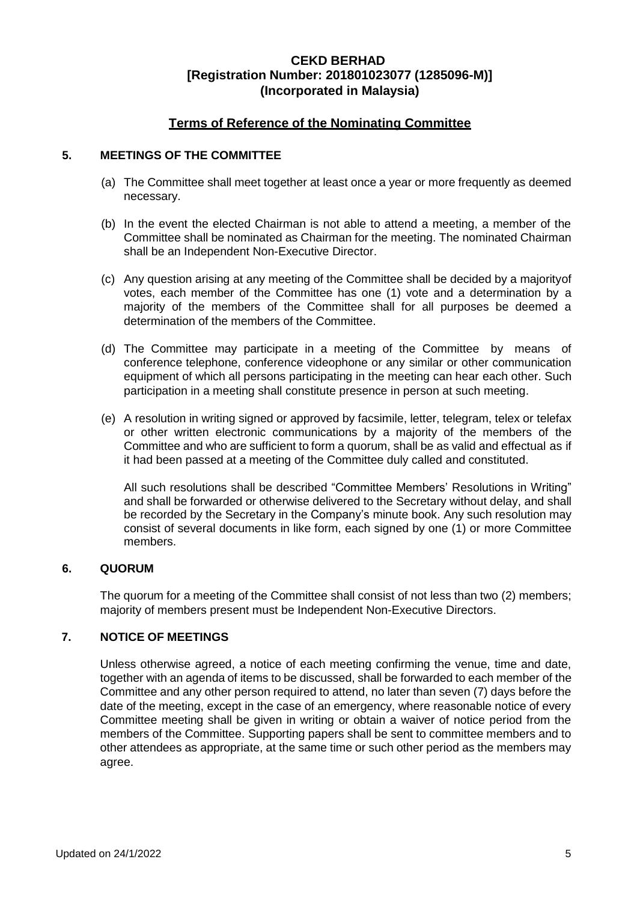# **Terms of Reference of the Nominating Committee**

## **5. MEETINGS OF THE COMMITTEE**

- (a) The Committee shall meet together at least once a year or more frequently as deemed necessary.
- (b) In the event the elected Chairman is not able to attend a meeting, a member of the Committee shall be nominated as Chairman for the meeting. The nominated Chairman shall be an Independent Non-Executive Director.
- (c) Any question arising at any meeting of the Committee shall be decided by a majorityof votes, each member of the Committee has one (1) vote and a determination by a majority of the members of the Committee shall for all purposes be deemed a determination of the members of the Committee.
- (d) The Committee may participate in a meeting of the Committee by means of conference telephone, conference videophone or any similar or other communication equipment of which all persons participating in the meeting can hear each other. Such participation in a meeting shall constitute presence in person at such meeting.
- (e) A resolution in writing signed or approved by facsimile, letter, telegram, telex or telefax or other written electronic communications by a majority of the members of the Committee and who are sufficient to form a quorum, shall be as valid and effectual as if it had been passed at a meeting of the Committee duly called and constituted.

All such resolutions shall be described "Committee Members' Resolutions in Writing" and shall be forwarded or otherwise delivered to the Secretary without delay, and shall be recorded by the Secretary in the Company's minute book. Any such resolution may consist of several documents in like form, each signed by one (1) or more Committee members.

### **6. QUORUM**

The quorum for a meeting of the Committee shall consist of not less than two (2) members; majority of members present must be Independent Non-Executive Directors.

# **7. NOTICE OF MEETINGS**

Unless otherwise agreed, a notice of each meeting confirming the venue, time and date, together with an agenda of items to be discussed, shall be forwarded to each member of the Committee and any other person required to attend, no later than seven (7) days before the date of the meeting, except in the case of an emergency, where reasonable notice of every Committee meeting shall be given in writing or obtain a waiver of notice period from the members of the Committee. Supporting papers shall be sent to committee members and to other attendees as appropriate, at the same time or such other period as the members may agree.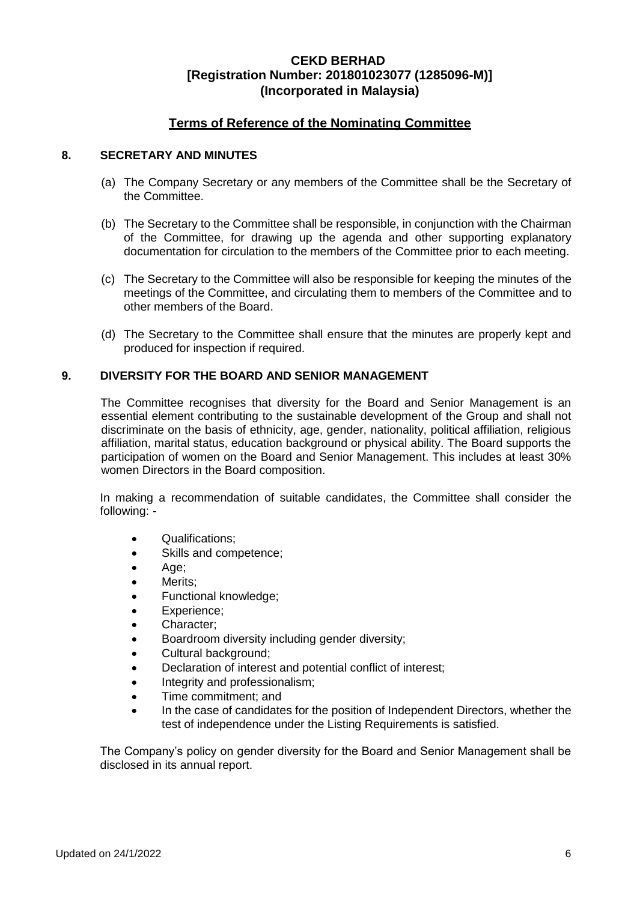# **Terms of Reference of the Nominating Committee**

### **8. SECRETARY AND MINUTES**

- (a) The Company Secretary or any members of the Committee shall be the Secretary of the Committee.
- (b) The Secretary to the Committee shall be responsible, in conjunction with the Chairman of the Committee, for drawing up the agenda and other supporting explanatory documentation for circulation to the members of the Committee prior to each meeting.
- (c) The Secretary to the Committee will also be responsible for keeping the minutes of the meetings of the Committee, and circulating them to members of the Committee and to other members of the Board.
- (d) The Secretary to the Committee shall ensure that the minutes are properly kept and produced for inspection if required.

### **9. DIVERSITY FOR THE BOARD AND SENIOR MANAGEMENT**

The Committee recognises that diversity for the Board and Senior Management is an essential element contributing to the sustainable development of the Group and shall not discriminate on the basis of ethnicity, age, gender, nationality, political affiliation, religious affiliation, marital status, education background or physical ability. The Board supports the participation of women on the Board and Senior Management. This includes at least 30% women Directors in the Board composition.

In making a recommendation of suitable candidates, the Committee shall consider the following: -

- Qualifications:
- Skills and competence;
- Age;
- Merits;
- Functional knowledge;
- Experience;
- Character;
- Boardroom diversity including gender diversity;
- Cultural background;
- Declaration of interest and potential conflict of interest;
- Integrity and professionalism;
- Time commitment; and
- In the case of candidates for the position of Independent Directors, whether the test of independence under the Listing Requirements is satisfied.

The Company's policy on gender diversity for the Board and Senior Management shall be disclosed in its annual report.